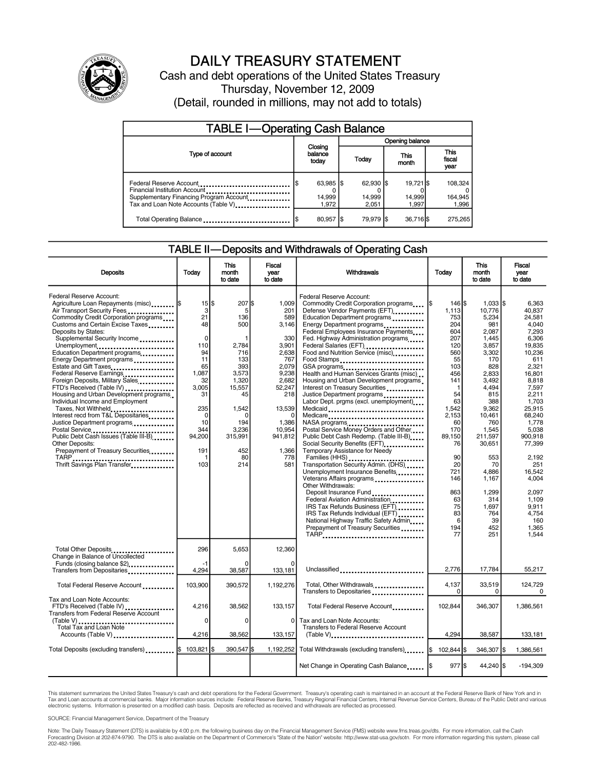

## DAILY TREASURY STATEMENT

Cash and debt operations of the United States Treasury Thursday, November 12, 2009 (Detail, rounded in millions, may not add to totals)

| <b>TABLE I-Operating Cash Balance</b>                                                                                                       |                                      |                              |  |                              |  |                              |                               |                             |  |
|---------------------------------------------------------------------------------------------------------------------------------------------|--------------------------------------|------------------------------|--|------------------------------|--|------------------------------|-------------------------------|-----------------------------|--|
|                                                                                                                                             |                                      |                              |  | Opening balance              |  |                              |                               |                             |  |
| Type of account                                                                                                                             | Closing<br>balance<br>Today<br>today |                              |  | This<br>month                |  |                              | <b>This</b><br>fiscal<br>year |                             |  |
| Federal Reserve Account<br>Financial Institution Account<br>Supplementary Financing Program Account<br>Tax and Loan Note Accounts (Table V) |                                      | 63,985 \$<br>14,999<br>1.972 |  | 62.930 \$<br>14,999<br>2.051 |  | 19.721 \$<br>14,999<br>1.997 |                               | 108,324<br>164,945<br>1,996 |  |
| Total Operating Balance                                                                                                                     |                                      | 80,957 \$                    |  | 79.979 \$                    |  | 36,716 \$                    |                               | 275.265                     |  |

## TABLE II—Deposits and Withdrawals of Operating Cash

| <b>Deposits</b>                                                                                                                                                                                                                                                                                                                                                                                                                                                                                                                                                                                                                                                                                                                                                                          | Today                                                                                                                                                                      | <b>This</b><br>month<br>to date                                                                                                                                  | Fiscal<br>vear<br>to date                                                                                                                                                    | Withdrawals<br>Today                                                                                                                                                                                                                                                                                                                                                                                                                                                                                                                                                                                                                                                                                                                                                                                                                                                                                                                                                                                                                                                   |                                                                                                                                                                                                                                    | <b>This</b><br>month<br>to date                                                                                                                                                                                                                                           | <b>Fiscal</b><br>year<br>to date                                                                                                                                                                                                                                                                  |
|------------------------------------------------------------------------------------------------------------------------------------------------------------------------------------------------------------------------------------------------------------------------------------------------------------------------------------------------------------------------------------------------------------------------------------------------------------------------------------------------------------------------------------------------------------------------------------------------------------------------------------------------------------------------------------------------------------------------------------------------------------------------------------------|----------------------------------------------------------------------------------------------------------------------------------------------------------------------------|------------------------------------------------------------------------------------------------------------------------------------------------------------------|------------------------------------------------------------------------------------------------------------------------------------------------------------------------------|------------------------------------------------------------------------------------------------------------------------------------------------------------------------------------------------------------------------------------------------------------------------------------------------------------------------------------------------------------------------------------------------------------------------------------------------------------------------------------------------------------------------------------------------------------------------------------------------------------------------------------------------------------------------------------------------------------------------------------------------------------------------------------------------------------------------------------------------------------------------------------------------------------------------------------------------------------------------------------------------------------------------------------------------------------------------|------------------------------------------------------------------------------------------------------------------------------------------------------------------------------------------------------------------------------------|---------------------------------------------------------------------------------------------------------------------------------------------------------------------------------------------------------------------------------------------------------------------------|---------------------------------------------------------------------------------------------------------------------------------------------------------------------------------------------------------------------------------------------------------------------------------------------------|
| Federal Reserve Account:<br>Agriculture Loan Repayments (misc)  \$<br>Air Transport Security Fees<br>Commodity Credit Corporation programs<br>Customs and Certain Excise Taxes<br>Deposits by States:<br>Supplemental Security Income<br>Unemployment<br>Education Department programs<br>Energy Department programs<br>Estate and Gift Taxes<br>Federal Reserve Earnings<br>Foreign Deposits, Military Sales,<br>FTD's Received (Table IV)<br>Housing and Urban Development programs<br>Individual Income and Employment<br>Taxes, Not Withheld<br>Interest recd from T&L Depositaries<br>Justice Department programs<br>Postal Service<br>Public Debt Cash Issues (Table III-B)<br><b>Other Deposits:</b><br>Prepayment of Treasury Securities<br>TARP<br>Thrift Savings Plan Transfer | $15$ $\frac{1}{3}$<br>3<br>21<br>48<br>$\mathbf 0$<br>110<br>94<br>11<br>65<br>1,087<br>32<br>3.005<br>31<br>235<br>$\mathbf 0$<br>10<br>344<br>94,200<br>191<br>-1<br>103 | $207$ $\text{S}$<br>5<br>136<br>500<br>2.784<br>716<br>133<br>393<br>3,573<br>1,320<br>15.557<br>45<br>1,542<br>0<br>194<br>3,236<br>315,991<br>452<br>80<br>214 | 1.009<br>201<br>589<br>3,146<br>330<br>3.901<br>2,638<br>767<br>2,079<br>9.238<br>2.682<br>52.247<br>218<br>13,539<br>0<br>1,386<br>10,954<br>941.812<br>1.366<br>778<br>581 | Federal Reserve Account:<br>Commodity Credit Corporation programs<br>Defense Vendor Payments (EFT)<br>Education Department programs<br>Energy Department programs<br>Federal Employees Insurance Payments<br>Fed. Highway Administration programs<br>Federal Salaries (EFT)<br>Food and Nutrition Service (misc)<br>Food Stamps<br>Health and Human Services Grants (misc)<br>Housing and Urban Development programs<br>Interest on Treasury Securities<br>Justice Department programs<br>Labor Dept. prgms (excl. unemployment)<br>Medicaid<br>Medicare<br>Postal Service Money Orders and Other<br>Public Debt Cash Redemp. (Table III-B)<br>Social Security Benefits (EFT)<br>Temporary Assistance for Needy<br>Transportation Security Admin. (DHS)<br>Unemployment Insurance Benefits<br>Veterans Affairs programs<br>Other Withdrawals:<br>Deposit Insurance Fund<br>Federal Aviation Administration<br>IRS Tax Refunds Business (EFT)<br>IRS Tax Refunds Individual (EFT)<br>National Highway Traffic Safety Admin<br>Prepayment of Treasury Securities<br>TARP | $146$ S<br>I\$<br>1.113<br>753<br>204<br>604<br>207<br>120<br>560<br>55<br>103<br>456<br>141<br>-1<br>54<br>63<br>1,542<br>2.153<br>60<br>170<br>89.150<br>76<br>90<br>20<br>721<br>146<br>863<br>63<br>75<br>83<br>6<br>194<br>77 | $1.033$ S<br>10.776<br>5,234<br>981<br>2.087<br>1.445<br>3.857<br>3.302<br>170<br>828<br>2,833<br>3.492<br>4.494<br>815<br>388<br>9,362<br>10,461<br>760<br>1,545<br>211,597<br>30.651<br>553<br>70<br>4,886<br>1,167<br>1,299<br>314<br>1,697<br>764<br>39<br>452<br>251 | 6.363<br>40.837<br>24,581<br>4,040<br>7.293<br>6.306<br>19.835<br>10.236<br>611<br>2.321<br>16.801<br>8.818<br>7.597<br>2.211<br>1.703<br>25.915<br>68.240<br>1.778<br>5.038<br>900.918<br>77.399<br>2,192<br>251<br>16.542<br>4.004<br>2.097<br>1.109<br>9,911<br>4.754<br>160<br>1,365<br>1.544 |
| Total Other Deposits<br>Change in Balance of Uncollected<br>Funds (closing balance \$2)                                                                                                                                                                                                                                                                                                                                                                                                                                                                                                                                                                                                                                                                                                  | 296<br>-1                                                                                                                                                                  | 5.653<br>$\Omega$                                                                                                                                                | 12.360<br>$\Omega$                                                                                                                                                           |                                                                                                                                                                                                                                                                                                                                                                                                                                                                                                                                                                                                                                                                                                                                                                                                                                                                                                                                                                                                                                                                        |                                                                                                                                                                                                                                    |                                                                                                                                                                                                                                                                           |                                                                                                                                                                                                                                                                                                   |
| Transfers from Depositaries<br>Total Federal Reserve Account                                                                                                                                                                                                                                                                                                                                                                                                                                                                                                                                                                                                                                                                                                                             | 4,294<br>103,900                                                                                                                                                           | 38,587<br>390,572                                                                                                                                                | 133,181<br>1,192,276                                                                                                                                                         | Unclassified<br>Total, Other Withdrawals                                                                                                                                                                                                                                                                                                                                                                                                                                                                                                                                                                                                                                                                                                                                                                                                                                                                                                                                                                                                                               | 2,776<br>4.137                                                                                                                                                                                                                     | 17,784<br>33,519                                                                                                                                                                                                                                                          | 55,217<br>124.729                                                                                                                                                                                                                                                                                 |
| Tax and Loan Note Accounts:<br>FTD's Received (Table IV)<br>Transfers from Federal Reserve Account<br>(Table V)<br>Total Tax and Loan Note<br>Accounts (Table V)                                                                                                                                                                                                                                                                                                                                                                                                                                                                                                                                                                                                                         | 4,216<br>0<br>4,216                                                                                                                                                        | 38.562<br>$\Omega$<br>38,562                                                                                                                                     | 133.157<br>0<br>133,157                                                                                                                                                      | Transfers to Depositaries<br>Total Federal Reserve Account<br>Tax and Loan Note Accounts:<br>Transfers to Federal Reserve Account<br>$(Table V)$                                                                                                                                                                                                                                                                                                                                                                                                                                                                                                                                                                                                                                                                                                                                                                                                                                                                                                                       | $\Omega$<br>102.844<br>4,294                                                                                                                                                                                                       | $\Omega$<br>346.307<br>38,587                                                                                                                                                                                                                                             | $\mathbf 0$<br>1.386.561<br>133,181                                                                                                                                                                                                                                                               |
| Total Deposits (excluding transfers) [103,821   \$103,821   \$                                                                                                                                                                                                                                                                                                                                                                                                                                                                                                                                                                                                                                                                                                                           |                                                                                                                                                                            | 390,547 \$                                                                                                                                                       |                                                                                                                                                                              | 1,192,252 Total Withdrawals (excluding transfers)                                                                                                                                                                                                                                                                                                                                                                                                                                                                                                                                                                                                                                                                                                                                                                                                                                                                                                                                                                                                                      | I\$<br>102.844                                                                                                                                                                                                                     | 346,307 \$                                                                                                                                                                                                                                                                | 1.386.561                                                                                                                                                                                                                                                                                         |
|                                                                                                                                                                                                                                                                                                                                                                                                                                                                                                                                                                                                                                                                                                                                                                                          |                                                                                                                                                                            |                                                                                                                                                                  |                                                                                                                                                                              | Net Change in Operating Cash Balance                                                                                                                                                                                                                                                                                                                                                                                                                                                                                                                                                                                                                                                                                                                                                                                                                                                                                                                                                                                                                                   | $977$ S                                                                                                                                                                                                                            | 44,240 \$                                                                                                                                                                                                                                                                 | $-194,309$                                                                                                                                                                                                                                                                                        |

This statement summarizes the United States Treasury's cash and debt operations for the Federal Government. Treasury's operating cash is maintained in an account at the Federal Reserve Bank of New York and in Tax and Loan accounts at commercial banks. Major information sources include: Federal Reserve Banks, Treasury Regional Financial Centers, Internal Revenue Service Centers, Bureau of the Public Debt and various<br>electronic s

SOURCE: Financial Management Service, Department of the Treasury

Note: The Daily Treasury Statement (DTS) is available by 4:00 p.m. the following business day on the Financial Management Service (FMS) website www.fms.treas.gov/dts. For more information, call the Cash<br>Forecasting Divisio 202-482-1986.